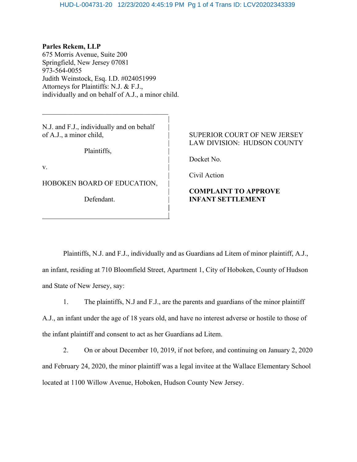|

**|**

**Parles Rekem, LLP** 675 Morris Avenue, Suite 200 Springfield, New Jersey 07081 973-564-0055 Judith Weinstock, Esq. I.D. #024051999 Attorneys for Plaintiffs: N.J. & F.J., individually and on behalf of A.J., a minor child.

N.J. and F.J., individually and on behalf

 $\mathcal{L}_\text{max}$  , where  $\mathcal{L}_\text{max}$  and  $\mathcal{L}_\text{max}$  and  $\mathcal{L}_\text{max}$ 

Plaintiffs, |

 $\mathbf{v}$ .

HOBOKEN BOARD OF EDUCATION,

|

## of A.J., a minor child,  $\qquad$  | SUPERIOR COURT OF NEW JERSEY LAW DIVISION: HUDSON COUNTY

Docket No.

| Civil Action

## | **COMPLAINT TO APPROVE** Defendant. | **INFANT SETTLEMENT**

Plaintiffs, N.J. and F.J., individually and as Guardians ad Litem of minor plaintiff, A.J., an infant, residing at 710 Bloomfield Street, Apartment 1, City of Hoboken, County of Hudson and State of New Jersey, say:

1. The plaintiffs, N.J and F.J., are the parents and guardians of the minor plaintiff A.J., an infant under the age of 18 years old, and have no interest adverse or hostile to those of the infant plaintiff and consent to act as her Guardians ad Litem.

2. On or about December 10, 2019, if not before, and continuing on January 2, 2020 and February 24, 2020, the minor plaintiff was a legal invitee at the Wallace Elementary School located at 1100 Willow Avenue, Hoboken, Hudson County New Jersey.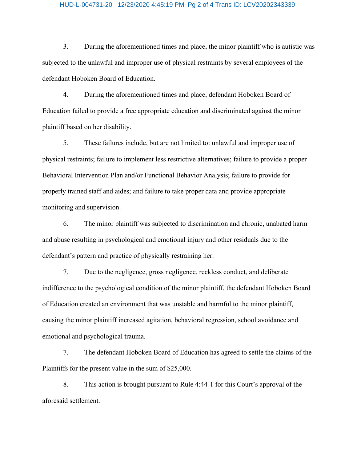## HUD-L-004731-20 12/23/2020 4:45:19 PM Pg 2 of 4 Trans ID: LCV20202343339

3. During the aforementioned times and place, the minor plaintiff who is autistic was subjected to the unlawful and improper use of physical restraints by several employees of the defendant Hoboken Board of Education.

4. During the aforementioned times and place, defendant Hoboken Board of Education failed to provide a free appropriate education and discriminated against the minor plaintiff based on her disability.

5. These failures include, but are not limited to: unlawful and improper use of physical restraints; failure to implement less restrictive alternatives; failure to provide a proper Behavioral Intervention Plan and/or Functional Behavior Analysis; failure to provide for properly trained staff and aides; and failure to take proper data and provide appropriate monitoring and supervision.

6. The minor plaintiff was subjected to discrimination and chronic, unabated harm and abuse resulting in psychological and emotional injury and other residuals due to the defendant's pattern and practice of physically restraining her.

7. Due to the negligence, gross negligence, reckless conduct, and deliberate indifference to the psychological condition of the minor plaintiff, the defendant Hoboken Board of Education created an environment that was unstable and harmful to the minor plaintiff, causing the minor plaintiff increased agitation, behavioral regression, school avoidance and emotional and psychological trauma.

7. The defendant Hoboken Board of Education has agreed to settle the claims of the Plaintiffs for the present value in the sum of \$25,000.

8. This action is brought pursuant to Rule 4:44-1 for this Court's approval of the aforesaid settlement.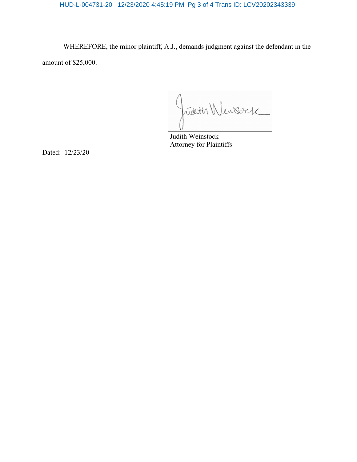HUD-L-004731-20 12/23/2020 4:45:19 PM Pg 3 of 4 Trans ID: LCV20202343339

WHEREFORE, the minor plaintiff, A.J., demands judgment against the defendant in the amount of \$25,000.

Judith Wensteck

Attorney for Plaintiffs

Dated: 12/23/20